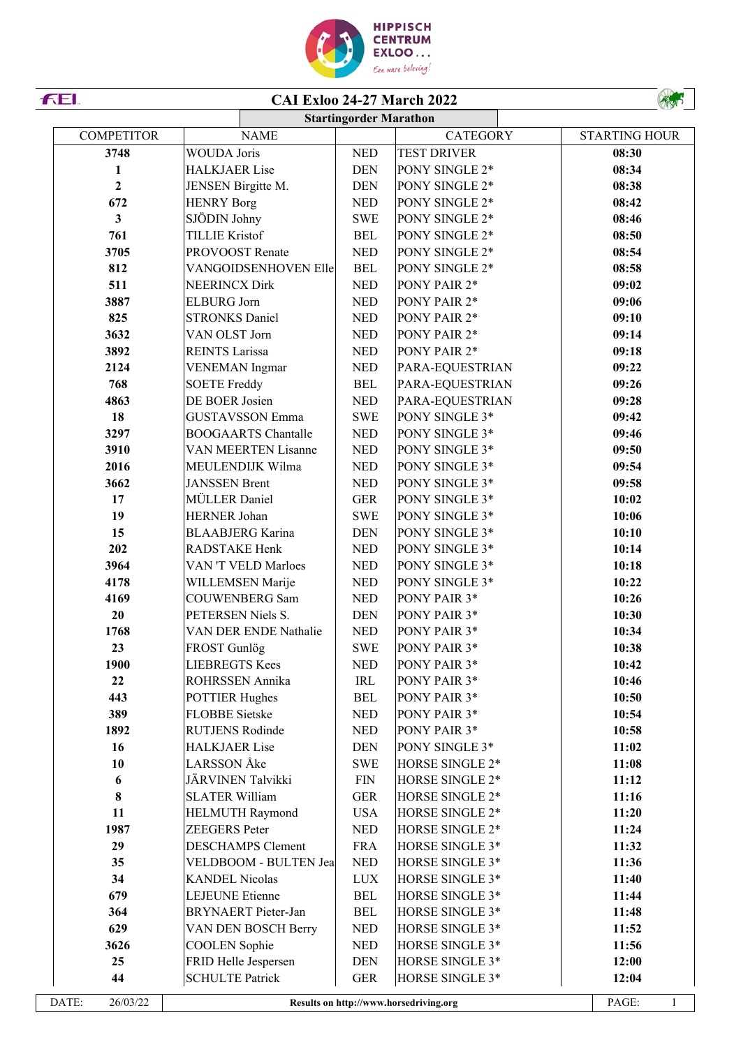

| FEI.              |                              |                                    | <b>CAI Exloo 24-27 March 2022</b>      |                       |
|-------------------|------------------------------|------------------------------------|----------------------------------------|-----------------------|
|                   |                              | <b>Startingorder Marathon</b>      |                                        |                       |
| <b>COMPETITOR</b> | <b>NAME</b>                  |                                    | <b>CATEGORY</b>                        | <b>STARTING HOUR</b>  |
| 3748              | <b>WOUDA Joris</b>           | <b>NED</b>                         | <b>TEST DRIVER</b>                     | 08:30                 |
| $\mathbf{1}$      | <b>HALKJAER Lise</b>         | <b>DEN</b>                         | PONY SINGLE 2*                         | 08:34                 |
| $\overline{2}$    | JENSEN Birgitte M.           | <b>DEN</b>                         | PONY SINGLE 2*                         | 08:38                 |
| 672               | <b>HENRY Borg</b>            | <b>NED</b>                         | PONY SINGLE 2*                         | 08:42                 |
| 3 <sup>1</sup>    | SJÖDIN Johny                 | <b>SWE</b>                         | PONY SINGLE 2*                         | 08:46                 |
| 761               | <b>TILLIE Kristof</b>        | <b>BEL</b>                         | PONY SINGLE 2*                         | 08:50                 |
| 3705              | PROVOOST Renate              | <b>NED</b>                         | PONY SINGLE 2*                         | 08:54                 |
| 812               | VANGOIDSENHOVEN Elle         | <b>BEL</b>                         | PONY SINGLE 2*                         | 08:58                 |
| 511               | <b>NEERINCX Dirk</b>         | <b>NED</b>                         | PONY PAIR 2*                           | 09:02                 |
| 3887              | <b>ELBURG</b> Jorn           | <b>NED</b>                         | PONY PAIR 2*                           | 09:06                 |
| 825               | <b>STRONKS Daniel</b>        | <b>NED</b>                         | PONY PAIR 2*                           | 09:10                 |
| 3632              | VAN OLST Jorn                | <b>NED</b>                         | PONY PAIR 2*                           | 09:14                 |
| 3892              | <b>REINTS Larissa</b>        | <b>NED</b>                         | PONY PAIR 2*                           | 09:18                 |
| 2124              | <b>VENEMAN</b> Ingmar        | <b>NED</b>                         | PARA-EQUESTRIAN                        | 09:22                 |
| 768               | <b>SOETE Freddy</b>          | <b>BEL</b>                         | PARA-EQUESTRIAN                        | 09:26                 |
| 4863              | DE BOER Josien               | $\ensuremath{\mathsf{NED}}$        | PARA-EQUESTRIAN                        | 09:28                 |
| 18                | <b>GUSTAVSSON Emma</b>       | <b>SWE</b>                         | PONY SINGLE 3*                         | 09:42                 |
| 3297              | <b>BOOGAARTS Chantalle</b>   | $\ensuremath{\mathsf{NED}}$        | PONY SINGLE 3*                         | 09:46                 |
| 3910              | VAN MEERTEN Lisanne          | <b>NED</b>                         | PONY SINGLE 3*                         | 09:50                 |
| 2016              | MEULENDIJK Wilma             | <b>NED</b>                         | PONY SINGLE 3*                         | 09:54                 |
| 3662              | <b>JANSSEN Brent</b>         | <b>NED</b>                         | PONY SINGLE 3*                         | 09:58                 |
| 17                | MÜLLER Daniel                | <b>GER</b>                         | PONY SINGLE 3*                         | 10:02                 |
| 19                | <b>HERNER Johan</b>          | <b>SWE</b>                         | PONY SINGLE 3*                         | 10:06                 |
| 15                |                              |                                    |                                        |                       |
| 202               | <b>BLAABJERG</b> Karina      | <b>DEN</b>                         | PONY SINGLE 3*                         | 10:10                 |
|                   | RADSTAKE Henk                | <b>NED</b>                         | PONY SINGLE 3*                         | 10:14                 |
| 3964              | VAN 'T VELD Marloes          | <b>NED</b>                         | PONY SINGLE 3*                         | 10:18                 |
| 4178              | WILLEMSEN Marije             | <b>NED</b>                         | PONY SINGLE 3*                         | 10:22                 |
| 4169              | <b>COUWENBERG Sam</b>        | <b>NED</b>                         | PONY PAIR 3*                           | 10:26                 |
| 20                | PETERSEN Niels S.            | <b>DEN</b>                         | PONY PAIR 3*                           | 10:30                 |
| 1768              | VAN DER ENDE Nathalie        | <b>NED</b>                         | PONY PAIR 3*                           | 10:34                 |
| 23                | FROST Gunlög                 | <b>SWE</b>                         | PONY PAIR 3*                           | 10:38                 |
| 1900              | <b>LIEBREGTS Kees</b>        | <b>NED</b>                         | PONY PAIR 3*                           | 10:42                 |
| 22                | ROHRSSEN Annika              | $\ensuremath{\mathsf{IRL}}\xspace$ | PONY PAIR 3*                           | 10:46                 |
| 443               | <b>POTTIER Hughes</b>        | <b>BEL</b>                         | PONY PAIR 3*                           | 10:50                 |
| 389               | <b>FLOBBE</b> Sietske        | <b>NED</b>                         | PONY PAIR 3*                           | 10:54                 |
| 1892              | <b>RUTJENS Rodinde</b>       | <b>NED</b>                         | PONY PAIR 3*                           | 10:58                 |
| 16                | <b>HALKJAER Lise</b>         | <b>DEN</b>                         | PONY SINGLE 3*                         | 11:02                 |
| 10                | LARSSON Åke                  | <b>SWE</b>                         | HORSE SINGLE 2*                        | 11:08                 |
| 6                 | JÄRVINEN Talvikki            | ${\rm FIN}$                        | HORSE SINGLE 2*                        | 11:12                 |
| 8                 | <b>SLATER William</b>        | <b>GER</b>                         | HORSE SINGLE 2*                        | 11:16                 |
| 11                | <b>HELMUTH Raymond</b>       | <b>USA</b>                         | HORSE SINGLE 2*                        | 11:20                 |
| 1987              | ZEEGERS Peter                | $\ensuremath{\mathsf{NED}}$        | HORSE SINGLE 2*                        | 11:24                 |
| 29                | <b>DESCHAMPS Clement</b>     | <b>FRA</b>                         | HORSE SINGLE 3*                        | 11:32                 |
| 35                | <b>VELDBOOM - BULTEN Jea</b> | $\ensuremath{\mathsf{NED}}$        | HORSE SINGLE 3*                        | 11:36                 |
| 34                | <b>KANDEL Nicolas</b>        | <b>LUX</b>                         | HORSE SINGLE 3*                        | 11:40                 |
| 679               | <b>LEJEUNE</b> Etienne       | <b>BEL</b>                         | HORSE SINGLE 3*                        | 11:44                 |
| 364               | <b>BRYNAERT</b> Pieter-Jan   | <b>BEL</b>                         | HORSE SINGLE 3*                        | 11:48                 |
| 629               | VAN DEN BOSCH Berry          | $\ensuremath{\mathsf{NED}}$        | HORSE SINGLE 3*                        | 11:52                 |
| 3626              | <b>COOLEN</b> Sophie         | <b>NED</b>                         | HORSE SINGLE 3*                        | 11:56                 |
| 25                | FRID Helle Jespersen         | <b>DEN</b>                         | HORSE SINGLE 3*                        | 12:00                 |
| 44                | <b>SCHULTE Patrick</b>       | <b>GER</b>                         | HORSE SINGLE 3*                        | 12:04                 |
|                   |                              |                                    |                                        |                       |
| DATE:<br>26/03/22 |                              |                                    | Results on http://www.horsedriving.org | PAGE:<br>$\mathbf{1}$ |